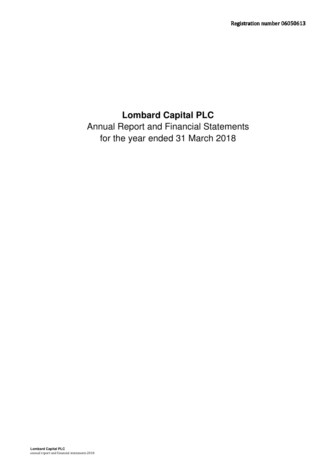# **Lombard Capital PLC**

Annual Report and Financial Statements for the year ended 31 March 2018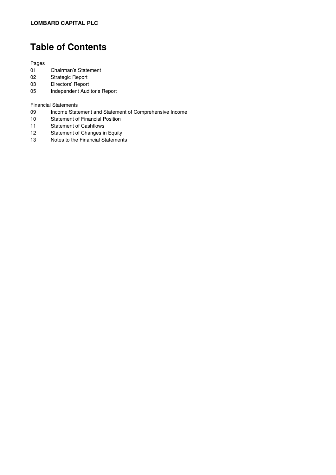# **Table of Contents**

### Pages

- 01 Chairman's Statement
- 02 Strategic Report
- 03 Directors' Report
- 05 Independent Auditor's Report

### Financial Statements

- 09 Income Statement and Statement of Comprehensive Income
- 10 Statement of Financial Position
- 11 Statement of Cashflows
- 12 Statement of Changes in Equity
- 13 Notes to the Financial Statements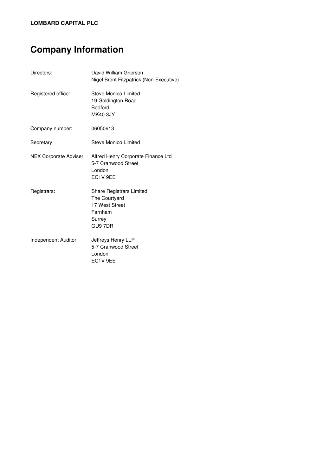### **LOMBARD CAPITAL PLC**

# **Company Information**

| Directors:                    | David William Grierson<br>Nigel Brent Fitzpatrick (Non-Executive)                           |
|-------------------------------|---------------------------------------------------------------------------------------------|
| Registered office:            | <b>Steve Monico Limited</b><br>19 Goldington Road<br>Bedford<br><b>MK40 3JY</b>             |
| Company number:               | 06050613                                                                                    |
| Secretary:                    | <b>Steve Monico Limited</b>                                                                 |
| <b>NEX Corporate Adviser:</b> | Alfred Henry Corporate Finance Ltd<br>5-7 Cranwood Street<br>London<br>EC1V 9EE             |
| Registrars:                   | Share Registrars Limited<br>The Courtyard<br>17 West Street<br>Farnham<br>Surrey<br>GU9 7DR |
| Independent Auditor:          | Jeffreys Henry LLP<br>5-7 Cranwood Street<br>London<br>EC1V 9EE                             |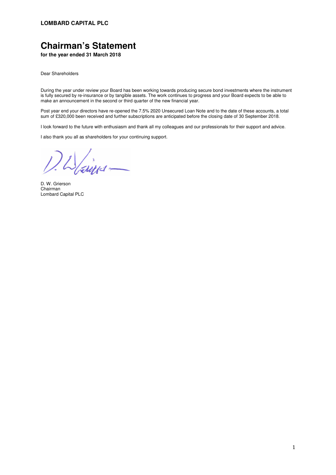### **Chairman's Statement**

**for the year ended 31 March 2018** 

Dear Shareholders

During the year under review your Board has been working towards producing secure bond investments where the instrument is fully secured by re-insurance or by tangible assets. The work continues to progress and your Board expects to be able to make an announcement in the second or third quarter of the new financial year.

Post year end your directors have re-opened the 7.5% 2020 Unsecured Loan Note and to the date of these accounts, a total sum of £320,000 been received and further subscriptions are anticipated before the closing date of 30 September 2018.

I look forward to the future with enthusiasm and thank all my colleagues and our professionals for their support and advice.

I also thank you all as shareholders for your continuing support.

ains .

D. W. Grierson Chairman Lombard Capital PLC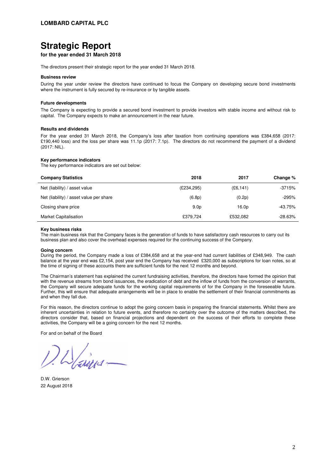# **Strategic Report**

### **for the year ended 31 March 2018**

The directors present their strategic report for the year ended 31 March 2018.

#### **Business review**

During the year under review the directors have continued to focus the Company on developing secure bond investments where the instrument is fully secured by re-insurance or by tangible assets.

#### **Future developments**

The Company is expecting to provide a secured bond investment to provide investors with stable income and without risk to capital. The Company expects to make an announcement in the near future.

#### **Results and dividends**

For the year ended 31 March 2018, the Company's loss after taxation from continuing operations was £384,658 (2017: £190,440 loss) and the loss per share was 11.1p (2017: 7.1p). The directors do not recommend the payment of a dividend (2017: NIL).

#### **Key performance indicators**

The key performance indicators are set out below:

| <b>Company Statistics</b>               | 2018             | 2017      | Change %   |
|-----------------------------------------|------------------|-----------|------------|
| Net (liability) / asset value           | (E234, 295)      | (E6, 141) | $-3715%$   |
| Net (liability) / asset value per share | (6.8p)           | (0.2p)    | $-295%$    |
| Closing share price                     | 9.0 <sub>p</sub> | 16.0p     | -43.75%    |
| Market Capitalisation                   | £379,724         | £532,082  | $-28.63\%$ |

#### **Key business risks**

The main business risk that the Company faces is the generation of funds to have satisfactory cash resources to carry out its business plan and also cover the overhead expenses required for the continuing success of the Company.

#### **Going concern**

During the period, the Company made a loss of £384,658 and at the year-end had current liabilities of £348,949. The cash balance at the year end was £2,154, post year end the Company has received £320,000 as subscriptions for loan notes, so at the time of signing of these accounts there are sufficient funds for the next 12 months and beyond.

The Chairman's statement has explained the current fundraising activities, therefore, the directors have formed the opinion that with the revenue streams from bond issuances, the eradication of debt and the inflow of funds from the conversion of warrants, the Company will secure adequate funds for the working capital requirements of for the Company in the foreseeable future. Further, this will ensure that adequate arrangements will be in place to enable the settlement of their financial commitments as and when they fall due.

For this reason, the directors continue to adopt the going concern basis in preparing the financial statements. Whilst there are inherent uncertainties in relation to future events, and therefore no certainty over the outcome of the matters described, the directors consider that, based on financial projections and dependent on the success of their efforts to complete these activities, the Company will be a going concern for the next 12 months.

For and on behalf of the Board

 $\sqrt{\frac{1}{\epsilon}}$ 

D.W. Grierson 22 August 2018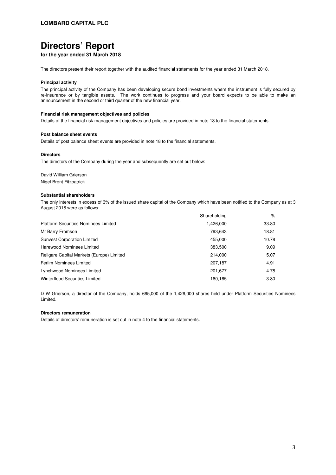# **Directors' Report**

**for the year ended 31 March 2018** 

The directors present their report together with the audited financial statements for the year ended 31 March 2018.

#### **Principal activity**

The principal activity of the Company has been developing secure bond investments where the instrument is fully secured by re-insurance or by tangible assets. The work continues to progress and your board expects to be able to make an announcement in the second or third quarter of the new financial year.

#### **Financial risk management objectives and policies**

Details of the financial risk management objectives and policies are provided in note 13 to the financial statements.

#### **Post balance sheet events**

Details of post balance sheet events are provided in note 18 to the financial statements.

#### **Directors**

The directors of the Company during the year and subsequently are set out below:

David William Grierson Nigel Brent Fitzpatrick

#### **Substantial shareholders**

The only interests in excess of 3% of the issued share capital of the Company which have been notified to the Company as at 3 August 2018 were as follows:

|                                             | Shareholding | %     |
|---------------------------------------------|--------------|-------|
| <b>Platform Securities Nominees Limited</b> | 1,426,000    | 33.80 |
| Mr Barry Fromson                            | 793,643      | 18.81 |
| <b>Sunvest Corporation Limited</b>          | 455,000      | 10.78 |
| <b>Harewood Nominees Limited</b>            | 383,500      | 9.09  |
| Religare Capital Markets (Europe) Limited   | 214,000      | 5.07  |
| Ferlim Nominees Limited                     | 207,187      | 4.91  |
| Lynchwood Nominees Limited                  | 201,677      | 4.78  |
| Winterflood Securities Limited              | 160,165      | 3.80  |

D W Grierson, a director of the Company, holds 665,000 of the 1,426,000 shares held under Platform Securities Nominees Limited.

#### **Directors remuneration**

Details of directors' remuneration is set out in note 4 to the financial statements.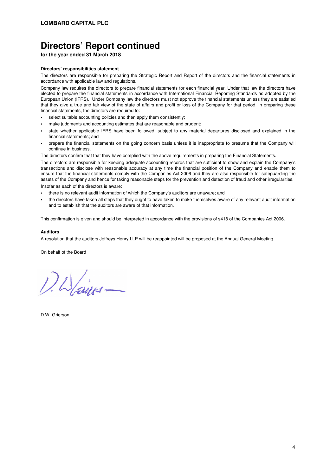## **Directors' Report continued**

**for the year ended 31 March 2018** 

#### **Directors' responsibilities statement**

The directors are responsible for preparing the Strategic Report and Report of the directors and the financial statements in accordance with applicable law and regulations.

Company law requires the directors to prepare financial statements for each financial year. Under that law the directors have elected to prepare the financial statements in accordance with International Financial Reporting Standards as adopted by the European Union (IFRS). Under Company law the directors must not approve the financial statements unless they are satisfied that they give a true and fair view of the state of affairs and profit or loss of the Company for that period. In preparing these financial statements, the directors are required to:

- **•** select suitable accounting policies and then apply them consistently;
- **•** make judgments and accounting estimates that are reasonable and prudent;
- **•** state whether applicable IFRS have been followed, subject to any material departures disclosed and explained in the financial statements; and
- **•** prepare the financial statements on the going concern basis unless it is inappropriate to presume that the Company will continue in business.

The directors confirm that that they have complied with the above requirements in preparing the Financial Statements.

The directors are responsible for keeping adequate accounting records that are sufficient to show and explain the Company's transactions and disclose with reasonable accuracy at any time the financial position of the Company and enable them to ensure that the financial statements comply with the Companies Act 2006 and they are also responsible for safeguarding the assets of the Company and hence for taking reasonable steps for the prevention and detection of fraud and other irregularities. Insofar as each of the directors is aware:

- **•** there is no relevant audit information of which the Company's auditors are unaware; and
- **•** the directors have taken all steps that they ought to have taken to make themselves aware of any relevant audit information and to establish that the auditors are aware of that information.

This confirmation is given and should be interpreted in accordance with the provisions of s418 of the Companies Act 2006.

#### **Auditors**

A resolution that the auditors Jeffreys Henry LLP will be reappointed will be proposed at the Annual General Meeting.

On behalf of the Board

Wains-

D.W. Grierson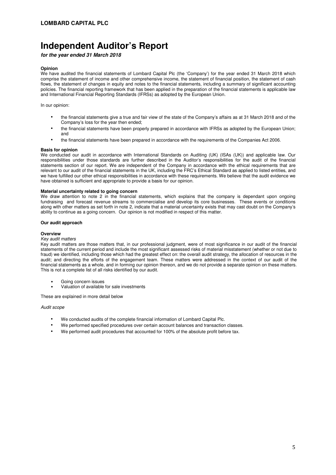**for the year ended 31 March 2018** 

#### **Opinion**

We have audited the financial statements of Lombard Capital Plc (the 'Company') for the year ended 31 March 2018 which comprise the statement of income and other comprehensive income, the statement of financial position, the statement of cash flows, the statement of changes in equity and notes to the financial statements, including a summary of significant accounting policies. The financial reporting framework that has been applied in the preparation of the financial statements is applicable law and International Financial Reporting Standards (IFRSs) as adopted by the European Union.

In our opinion:

- the financial statements give a true and fair view of the state of the Company's affairs as at 31 March 2018 and of the Company's loss for the year then ended;
- the financial statements have been properly prepared in accordance with IFRSs as adopted by the European Union; and
- the financial statements have been prepared in accordance with the requirements of the Companies Act 2006.

#### **Basis for opinion**

We conducted our audit in accordance with International Standards on Auditing (UK) (ISAs (UK)) and applicable law. Our responsibilities under those standards are further described in the Auditor's responsibilities for the audit of the financial statements section of our report. We are independent of the Company in accordance with the ethical requirements that are relevant to our audit of the financial statements in the UK, including the FRC's Ethical Standard as applied to listed entities, and we have fulfilled our other ethical responsibilities in accordance with these requirements. We believe that the audit evidence we have obtained is sufficient and appropriate to provide a basis for our opinion.

#### **Material uncertainty related to going concern**

We draw attention to note 2 in the financial statements, which explains that the company is dependant upon ongoing fundraising and forecast revenue streams to commercialise and develop its core businesses. These events or conditions along with other matters as set forth in note 2, indicate that a material uncertainty exists that may cast doubt on the Company's ability to continue as a going concern. Our opinion is not modified in respect of this matter.

#### **Our audit approach**

#### **Overview**

#### Key audit matters

Key audit matters are those matters that, in our professional judgment, were of most significance in our audit of the financial statements of the current period and include the most significant assessed risks of material misstatement (whether or not due to fraud) we identified, including those which had the greatest effect on: the overall audit strategy, the allocation of resources in the audit; and directing the efforts of the engagement team. These matters were addressed in the context of our audit of the financial statements as a whole, and in forming our opinion thereon, and we do not provide a separate opinion on these matters. This is not a complete list of all risks identified by our audit.

- Going concern issues
- Valuation of available for sale investments

These are explained in more detail below

Audit scope

- We conducted audits of the complete financial information of Lombard Capital Plc.
- We performed specified procedures over certain account balances and transaction classes.
- We performed audit procedures that accounted for 100% of the absolute profit before tax.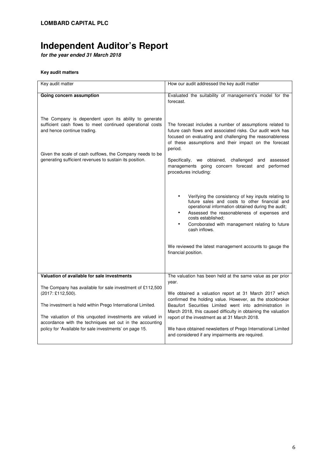**for the year ended 31 March 2018** 

### **Key audit matters**

| Key audit matter                                                                                                                                                                                                                                                          | How our audit addressed the key audit matter                                                                                                                                                                                                                                                                                                                                                       |
|---------------------------------------------------------------------------------------------------------------------------------------------------------------------------------------------------------------------------------------------------------------------------|----------------------------------------------------------------------------------------------------------------------------------------------------------------------------------------------------------------------------------------------------------------------------------------------------------------------------------------------------------------------------------------------------|
| Going concern assumption                                                                                                                                                                                                                                                  | Evaluated the suitability of management's model for the<br>forecast.                                                                                                                                                                                                                                                                                                                               |
| The Company is dependent upon its ability to generate<br>sufficient cash flows to meet continued operational costs<br>and hence continue trading.<br>Given the scale of cash outflows, the Company needs to be<br>generating sufficient revenues to sustain its position. | The forecast includes a number of assumptions related to<br>future cash flows and associated risks. Our audit work has<br>focused on evaluating and challenging the reasonableness<br>of these assumptions and their impact on the forecast<br>period.<br>Specifically, we obtained, challenged<br>and<br>assessed<br>managements going concern forecast and<br>performed<br>procedures including: |
|                                                                                                                                                                                                                                                                           | Verifying the consistency of key inputs relating to<br>$\bullet$<br>future sales and costs to other financial and<br>operational information obtained during the audit;<br>Assessed the reasonableness of expenses and<br>costs established;<br>Corroborated with management relating to future<br>cash inflows.                                                                                   |
|                                                                                                                                                                                                                                                                           | We reviewed the latest management accounts to gauge the<br>financial position.                                                                                                                                                                                                                                                                                                                     |
| Valuation of available for sale investments                                                                                                                                                                                                                               | The valuation has been held at the same value as per prior<br>year.                                                                                                                                                                                                                                                                                                                                |
| The Company has available for sale investment of £112,500<br>(2017: £112,500).<br>The investment is held within Prego International Limited.<br>The valuation of this unquoted investments are valued in<br>accordance with the techniques set out in the accounting      | We obtained a valuation report at 31 March 2017 which<br>confirmed the holding value. However, as the stockbroker<br>Beaufort Securities Limited went into administration in<br>March 2018, this caused difficulty in obtaining the valuation<br>report of the investment as at 31 March 2018.                                                                                                     |
| policy for 'Available for sale investments' on page 15.                                                                                                                                                                                                                   | We have obtained newsletters of Prego International Limited<br>and considered if any impairments are required.                                                                                                                                                                                                                                                                                     |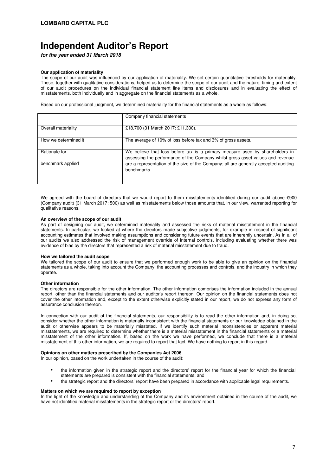**for the year ended 31 March 2018** 

#### **Our application of materiality**

The scope of our audit was influenced by our application of materiality. We set certain quantitative thresholds for materiality. These, together with qualitative considerations, helped us to determine the scope of our audit and the nature, timing and extent of our audit procedures on the individual financial statement line items and disclosures and in evaluating the effect of misstatements, both individually and in aggregate on the financial statements as a whole.

Based on our professional judgment, we determined materiality for the financial statements as a whole as follows:

|                      | Company financial statements                                                                                                                                   |
|----------------------|----------------------------------------------------------------------------------------------------------------------------------------------------------------|
| Overall materiality  | £18,700 (31 March 2017: £11,300).                                                                                                                              |
| How we determined it | The average of 10% of loss before tax and 3% of gross assets.                                                                                                  |
| Rationale for        | We believe that loss before tax is a primary measure used by shareholders in<br>assessing the performance of the Company whilst gross asset values and revenue |
| benchmark applied    | are a representation of the size of the Company; all are generally accepted auditing<br>benchmarks.                                                            |

We agreed with the board of directors that we would report to them misstatements identified during our audit above £900 (Company audit) (31 March 2017: 500) as well as misstatements below those amounts that, in our view, warranted reporting for qualitative reasons.

#### **An overview of the scope of our audit**

As part of designing our audit, we determined materiality and assessed the risks of material misstatement in the financial statements. In particular, we looked at where the directors made subjective judgments, for example in respect of significant accounting estimates that involved making assumptions and considering future events that are inherently uncertain. As in all of our audits we also addressed the risk of management override of internal controls, including evaluating whether there was evidence of bias by the directors that represented a risk of material misstatement due to fraud.

#### **How we tailored the audit scope**

We tailored the scope of our audit to ensure that we performed enough work to be able to give an opinion on the financial statements as a whole, taking into account the Company, the accounting processes and controls, and the industry in which they operate.

#### **Other information**

The directors are responsible for the other information. The other information comprises the information included in the annual report, other than the financial statements and our auditor's report thereon. Our opinion on the financial statements does not cover the other information and, except to the extent otherwise explicitly stated in our report, we do not express any form of assurance conclusion thereon.

In connection with our audit of the financial statements, our responsibility is to read the other information and, in doing so, consider whether the other information is materially inconsistent with the financial statements or our knowledge obtained in the audit or otherwise appears to be materially misstated. If we identify such material inconsistencies or apparent material misstatements, we are required to determine whether there is a material misstatement in the financial statements or a material misstatement of the other information. If, based on the work we have performed, we conclude that there is a material misstatement of this other information, we are required to report that fact. We have nothing to report in this regard.

#### **Opinions on other matters prescribed by the Companies Act 2006**

In our opinion, based on the work undertaken in the course of the audit:

- the information given in the strategic report and the directors' report for the financial year for which the financial statements are prepared is consistent with the financial statements; and
- the strategic report and the directors' report have been prepared in accordance with applicable legal requirements.

#### **Matters on which we are required to report by exception**

In the light of the knowledge and understanding of the Company and its environment obtained in the course of the audit, we have not identified material misstatements in the strategic report or the directors' report.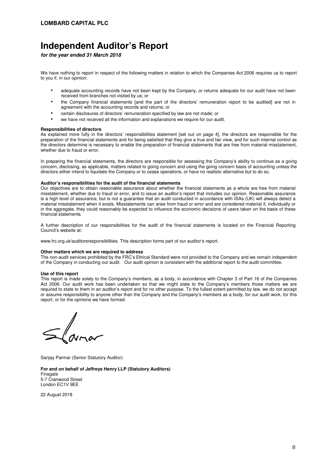**for the year ended 31 March 2018** 

We have nothing to report in respect of the following matters in relation to which the Companies Act 2006 requires us to report to you if, in our opinion:

- adequate accounting records have not been kept by the Company, or returns adequate for our audit have not been received from branches not visited by us; or
- the Company financial statements [and the part of the directors' remuneration report to be audited] are not in agreement with the accounting records and returns; or
- certain disclosures of directors' remuneration specified by law are not made; or
- we have not received all the information and explanations we require for our audit.

#### **Responsibilities of directors**

As explained more fully in the directors' responsibilities statement [set out on page 4], the directors are responsible for the preparation of the financial statements and for being satisfied that they give a true and fair view, and for such internal control as the directors determine is necessary to enable the preparation of financial statements that are free from material misstatement, whether due to fraud or error.

In preparing the financial statements, the directors are responsible for assessing the Company's ability to continue as a going concern, disclosing, as applicable, matters related to going concern and using the going concern basis of accounting unless the directors either intend to liquidate the Company or to cease operations, or have no realistic alternative but to do so.

#### **Auditor's responsibilities for the audit of the financial statements**

Our objectives are to obtain reasonable assurance about whether the financial statements as a whole are free from material misstatement, whether due to fraud or error, and to issue an auditor's report that includes our opinion. Reasonable assurance is a high level of assurance, but is not a guarantee that an audit conducted in accordance with ISAs (UK) will always detect a material misstatement when it exists. Misstatements can arise from fraud or error and are considered material if, individually or in the aggregate, they could reasonably be expected to influence the economic decisions of users taken on the basis of these financial statements.

A further description of our responsibilities for the audit of the financial statements is located on the Financial Reporting Council's website at:

www.frc.org.uk/auditorsresponsibilities. This description forms part of our auditor's report.

#### **Other matters which we are required to address**

The non-audit services prohibited by the FRC's Ethical Standard were not provided to the Company and we remain independent of the Company in conducting our audit. Our audit opinion is consistent with the additional report to the audit committee.

#### **Use of this report**

This report is made solely to the Company's members, as a body, in accordance with Chapter 3 of Part 16 of the Companies Act 2006. Our audit work has been undertaken so that we might state to the Company's members those matters we are required to state to them in an auditor's report and for no other purpose. To the fullest extent permitted by law, we do not accept or assume responsibility to anyone other than the Company and the Company's members as a body, for our audit work, for this report, or for the opinions we have formed.

Sanjay Parmar (Senior Statutory Auditor)

**For and on behalf of Jeffreys Henry LLP (Statutory Auditors)**  Finsgate 5-7 Cranwood Street London EC1V 9EE

22 August 2018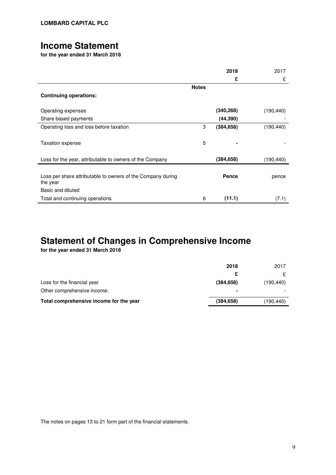### **Income Statement**

**for the year ended 31 March 2018**

|                                                                         |              | 2018         | 2017       |
|-------------------------------------------------------------------------|--------------|--------------|------------|
|                                                                         |              | £            | £          |
|                                                                         | <b>Notes</b> |              |            |
| <b>Continuing operations:</b>                                           |              |              |            |
| Operating expenses                                                      |              | (340, 268)   | (190, 440) |
| Share based payments                                                    |              | (44, 390)    |            |
| Operating loss and loss before taxation                                 | 3            | (384, 658)   | (190, 440) |
|                                                                         |              |              |            |
| Taxation expense                                                        | 5            |              |            |
|                                                                         |              |              |            |
| Loss for the year, attributable to owners of the Company                |              | (384, 658)   | (190,440)  |
|                                                                         |              |              |            |
| Loss per share attributable to owners of the Company during<br>the year |              | <b>Pence</b> | pence      |
| Basic and diluted                                                       |              |              |            |
| Total and continuing operations                                         | 6            | (11.1)       | (7.1)      |

# **Statement of Changes in Comprehensive Income**

**for the year ended 31 March 2018**

|                                         | 2018           | 2017      |
|-----------------------------------------|----------------|-----------|
|                                         |                |           |
| Loss for the financial year             | (384, 658)     | (190,440) |
| Other comprehensive income:             | $\blacksquare$ |           |
| Total comprehensive income for the year | (384, 658)     | (190,440) |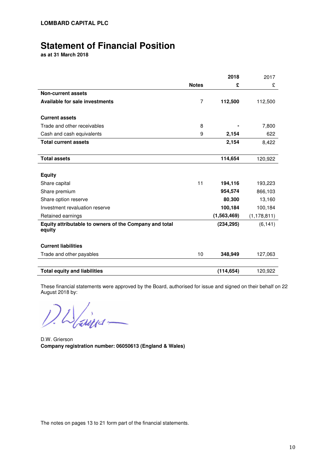### **Statement of Financial Position**

**as at 31 March 2018** 

|                                                        |                | 2018        | 2017          |
|--------------------------------------------------------|----------------|-------------|---------------|
|                                                        | <b>Notes</b>   | £           | £             |
| <b>Non-current assets</b>                              |                |             |               |
| Available for sale investments                         | $\overline{7}$ | 112,500     | 112,500       |
|                                                        |                |             |               |
| <b>Current assets</b>                                  |                |             |               |
| Trade and other receivables                            | 8              |             | 7,800         |
| Cash and cash equivalents                              | 9              | 2,154       | 622           |
| <b>Total current assets</b>                            |                | 2,154       | 8,422         |
|                                                        |                |             |               |
| <b>Total assets</b>                                    |                | 114,654     | 120,922       |
|                                                        |                |             |               |
| <b>Equity</b>                                          |                |             |               |
| Share capital                                          | 11             | 194,116     | 193,223       |
| Share premium                                          |                | 954,574     | 866,103       |
| Share option reserve                                   |                | 80,300      | 13,160        |
| Investment revaluation reserve                         |                | 100,184     | 100,184       |
| Retained earnings                                      |                | (1,563,469) | (1, 178, 811) |
| Equity attributable to owners of the Company and total |                | (234, 295)  | (6, 141)      |
| equity                                                 |                |             |               |
|                                                        |                |             |               |
| <b>Current liabilities</b>                             |                |             |               |
| Trade and other payables                               | 10             | 348,949     | 127,063       |
|                                                        |                |             |               |
| <b>Total equity and liabilities</b>                    |                | (114, 654)  | 120,922       |

These financial statements were approved by the Board, authorised for issue and signed on their behalf on 22 August 2018 by:

D.W. Grierson **Company registration number: 06050613 (England & Wales)**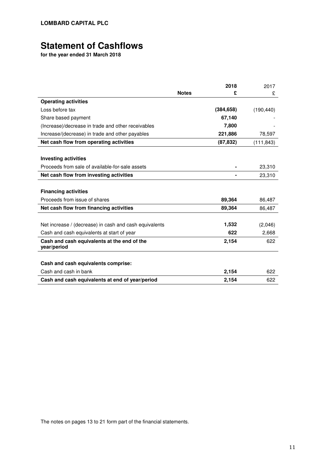## **Statement of Cashflows**

**for the year ended 31 March 2018** 

|              | 2018       | 2017       |
|--------------|------------|------------|
| <b>Notes</b> | £          | £          |
|              |            |            |
|              | (384, 658) | (190, 440) |
|              | 67,140     |            |
|              | 7,800      |            |
|              | 221,886    | 78,597     |
|              | (87, 832)  | (111, 843) |
|              |            |            |
|              |            | 23,310     |
|              |            | 23,310     |
|              |            |            |
|              | 89,364     | 86,487     |
|              | 89,364     | 86,487     |
|              | 1,532      | (2,046)    |
|              | 622        | 2,668      |
|              | 2,154      | 622        |
|              |            |            |
|              | 2,154      | 622        |
|              | 2,154      | 622        |
|              |            |            |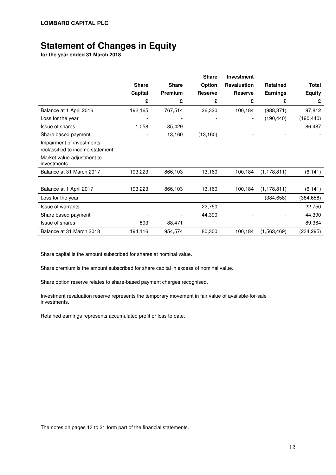## **Statement of Changes in Equity**

**for the year ended 31 March 2018** 

|                                           |                |              | <b>Share</b>   | Investment               |                 |               |
|-------------------------------------------|----------------|--------------|----------------|--------------------------|-----------------|---------------|
|                                           | <b>Share</b>   | <b>Share</b> | Option         | <b>Revaluation</b>       | <b>Retained</b> | <b>Total</b>  |
|                                           | <b>Capital</b> | Premium      | <b>Reserve</b> | <b>Reserve</b>           | <b>Earnings</b> | <b>Equity</b> |
|                                           | £              | £            | £              | £                        | £               | £             |
| Balance at 1 April 2016                   | 192,165        | 767,514      | 26,320         | 100,184                  | (988, 371)      | 97,812        |
| Loss for the year                         |                |              |                | $\overline{\phantom{a}}$ | (190, 440)      | (190, 440)    |
| <b>Issue of shares</b>                    | 1,058          | 85,429       |                |                          |                 | 86,487        |
| Share based payment                       |                | 13,160       | (13, 160)      |                          |                 |               |
| Impairment of investments -               |                |              |                |                          |                 |               |
| reclassified to income statement          |                |              |                |                          |                 |               |
| Market value adjustment to<br>investments |                |              |                |                          |                 |               |
| Balance at 31 March 2017                  | 193,223        | 866,103      | 13,160         | 100,184                  | (1, 178, 811)   | (6, 141)      |
|                                           |                |              |                |                          |                 |               |
| Balance at 1 April 2017                   | 193,223        | 866,103      | 13,160         | 100,184                  | (1, 178, 811)   | (6, 141)      |
| Loss for the year                         |                |              |                |                          | (384, 658)      | (384, 658)    |
| <b>Issue of warrants</b>                  |                |              | 22,750         |                          |                 | 22,750        |
| Share based payment                       |                |              | 44,390         |                          |                 | 44,390        |
| <b>Issue of shares</b>                    | 893            | 88,471       |                |                          |                 | 89,364        |
| Balance at 31 March 2018                  | 194,116        | 954,574      | 80,300         | 100,184                  | (1,563,469)     | (234, 295)    |

Share capital is the amount subscribed for shares at nominal value.

Share premium is the amount subscribed for share capital in excess of nominal value.

Share option reserve relates to share-based payment charges recognised.

Investment revaluation reserve represents the temporary movement in fair value of available-for-sale investments.

Retained earnings represents accumulated profit or loss to date.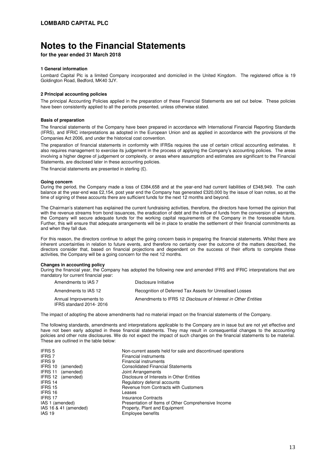**for the year ended 31 March 2018** 

#### **1 General information**

Lombard Capital Plc is a limited Company incorporated and domiciled in the United Kingdom. The registered office is 19 Goldington Road, Bedford, MK40 3JY.

#### **2 Principal accounting policies**

The principal Accounting Policies applied in the preparation of these Financial Statements are set out below. These policies have been consistently applied to all the periods presented, unless otherwise stated.

#### **Basis of preparation**

The financial statements of the Company have been prepared in accordance with International Financial Reporting Standards (IFRS), and IFRIC interpretations as adopted in the European Union and as applied in accordance with the provisions of the Companies Act 2006, and under the historical cost convention.

The preparation of financial statements in conformity with IFRSs requires the use of certain critical accounting estimates. It also requires management to exercise its judgement in the process of applying the Company's accounting policies. The areas involving a higher degree of judgement or complexity, or areas where assumption and estimates are significant to the Financial Statements, are disclosed later in these accounting policies.

The financial statements are presented in sterling  $(E)$ .

#### **Going concern**

During the period, the Company made a loss of £384,658 and at the year-end had current liabilities of £348,949. The cash balance at the year-end was £2,154, post year end the Company has generated £320,000 by the issue of loan notes, so at the time of signing of these accounts there are sufficient funds for the next 12 months and beyond.

The Chairman's statement has explained the current fundraising activities, therefore, the directors have formed the opinion that with the revenue streams from bond issuances, the eradication of debt and the inflow of funds from the conversion of warrants, the Company will secure adequate funds for the working capital requirements of the Company in the foreseeable future. Further, this will ensure that adequate arrangements will be in place to enable the settlement of their financial commitments as and when they fall due.

For this reason, the directors continue to adopt the going concern basis in preparing the financial statements. Whilst there are inherent uncertainties in relation to future events, and therefore no certainty over the outcome of the matters described, the directors consider that, based on financial projections and dependent on the success of their efforts to complete these activities, the Company will be a going concern for the next 12 months.

#### **Changes in accounting policy**

During the financial year, the Company has adopted the following new and amended IFRS and IFRIC interpretations that are mandatory for current financial year:

| Amendments to IAS 7                               | Disclosure Initiative                                          |
|---------------------------------------------------|----------------------------------------------------------------|
| Amendments to IAS 12                              | Recognition of Deferred Tax Assets for Unrealised Losses       |
| Annual Improvements to<br>IFRS standard 2014-2016 | Amendments to IFRS 12 Disclosure of Interest in Other Entities |

The impact of adopting the above amendments had no material impact on the financial statements of the Company.

The following standards, amendments and interpretations applicable to the Company are in issue but are not yet effective and have not been early adopted in these financial statements. They may result in consequential changes to the accounting policies and other note disclosures. We do not expect the impact of such changes on the financial statements to be material. These are outlined in the table below:

| IFRS 5<br>IFRS 7      | Non-current assets held for sale and discontinued operations<br>Financial instruments |
|-----------------------|---------------------------------------------------------------------------------------|
| IFRS 9                | Financial instruments                                                                 |
| IFRS 10<br>(amended)  | <b>Consolidated Financial Statements</b>                                              |
| IFRS 11<br>(amended)  | Joint Arrangements                                                                    |
| IFRS 12<br>(amended)  | Disclosure of Interests in Other Entities                                             |
| IFRS 14               | Regulatory deferral accounts                                                          |
| IFRS 15               | Revenue from Contracts with Customers                                                 |
| IFRS 16               | Leases                                                                                |
| IFRS 17               | Insurance Contracts                                                                   |
| IAS 1 (amended)       | Presentation of Items of Other Comprehensive Income                                   |
| IAS 16 & 41 (amended) | Property, Plant and Equipment                                                         |
| IAS 19                | Employee benefits                                                                     |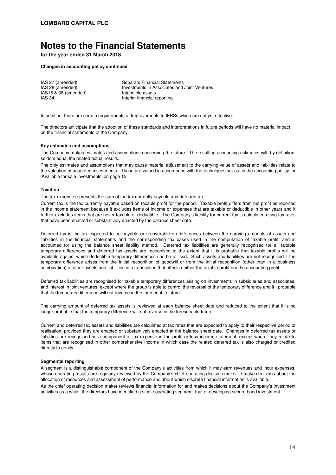**for the year ended 31 March 2018** 

**Changes in accounting policy continued**

IAS 27 (amended) Separate Financial Statements Investments in Associates and Joint Ventures<br>Intangible assets  $IAS16$  & 38 (amended)<br> $IAS34$ Interim financial reporting

In addition, there are certain requirements of Improvements to IFRSs which are not yet effective.

The directors anticipate that the adoption of these standards and interpretations in future periods will have no material impact on the financial statements of the Company.

#### **Key estimates and assumptions**

The Company makes estimates and assumptions concerning the future. The resulting accounting estimates will, by definition, seldom equal the related actual results.

The only estimates and assumptions that may cause material adjustment to the carrying value of assets and liabilities relate to the valuation of unquoted investments. These are valued in accordance with the techniques set out in the accounting policy for 'Available for sale investments' on page 15.

#### **Taxation**

The tax expense represents the sum of the tax currently payable and deferred tax.

Current tax is the tax currently payable based on taxable profit for the period. Taxable profit differs from net profit as reported in the income statement because it excludes items of income or expenses that are taxable or deductible in other years and it further excludes items that are never taxable or deductible. The Company's liability for current tax is calculated using tax rates that have been enacted or substantively enacted by the balance sheet date.

Deferred tax is the tax expected to be payable or recoverable on differences between the carrying amounts of assets and liabilities in the financial statements and the corresponding tax bases used in the computation of taxable profit, and is accounted for using the balance sheet liability method. Deferred tax liabilities are generally recognised for all taxable temporary differences and deferred tax assets are recognised to the extent that it is probable that taxable profits will be available against which deductible temporary differences can be utilised. Such assets and liabilities are not recognised if the temporary difference arises from the initial recognition of goodwill or from the initial recognition (other than in a business combination) of other assets and liabilities in a transaction that affects neither the taxable profit nor the accounting profit.

Deferred tax liabilities are recognised for taxable temporary differences arising on investments in subsidiaries and associates, and interest in joint ventures, except where the group is able to control the reversal of the temporary difference and it I probable that the temporary difference will not reverse in the foreseeable future.

The carrying amount of deferred tax assets is reviewed at each balance sheet date and reduced to the extent that it is no longer probable that the temporary difference will not reverse in the foreseeable future.

Current and deferred tax assets and liabilities are calculated at tax rates that are expected to apply to their respective period of realisation, provided they are enacted or substantively enacted at the balance sheet date. Changes in deferred tax assets or liabilities are recognised as a component of tax expense in the profit or loss income statement, except where they relate to items that are recognised in other comprehensive income in which case the related deferred tax is also charged or credited directly to equity.

#### **Segmental reporting**

A segment is a distinguishable component of the Company's activities from which it may earn revenues and incur expenses, whose operating results are regularly reviewed by the Company's chief operating decision maker to make decisions about the allocation of resources and assessment of performance and about which discrete financial information is available.

As the chief operating decision maker reviews financial information for and makes decisions about the Company's investment activities as a while, the directors have identified a single operating segment, that of developing secure bond investment.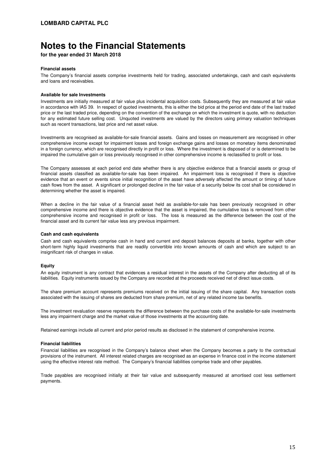**for the year ended 31 March 2018** 

#### **Financial assets**

The Company's financial assets comprise investments held for trading, associated undertakings, cash and cash equivalents and loans and receivables.

#### **Available for sale Investments**

Investments are initially measured at fair value plus incidental acquisition costs. Subsequently they are measured at fair value in accordance with IAS 39. In respect of quoted investments, this is either the bid price at the period end date of the last traded price or the last traded price, depending on the convention of the exchange on which the investment is quote, with no deduction for any estimated future selling cost. Unquoted investments are valued by the directors using primary valuation techniques such as recent transactions, last price and net asset value.

Investments are recognised as available-for-sale financial assets. Gains and losses on measurement are recognised in other comprehensive income except for impairment losses and foreign exchange gains and losses on monetary items denominated in a foreign currency, which are recognised directly in profit or loss. Where the investment is disposed of or is determined to be impaired the cumulative gain or loss previously recognised in other comprehensive income is reclassified to profit or loss.

The Company assesses at each period end date whether there is any objective evidence that a financial assets or group of financial assets classified as available-for-sale has been impaired. An impairment loss is recognised if there is objective evidence that an event or events since initial recognition of the asset have adversely affected the amount or timing of future cash flows from the asset. A significant or prolonged decline in the fair value of a security below its cost shall be considered in determining whether the asset is impaired.

When a decline in the fair value of a financial asset held as available-for-sale has been previously recognised in other comprehensive income and there is objective evidence that the asset is impaired, the cumulative loss is removed from other comprehensive income and recognised in profit or loss. The loss is measured as the difference between the cost of the financial asset and its current fair value less any previous impairment.

#### **Cash and cash equivalents**

Cash and cash equivalents comprise cash in hand and current and deposit balances deposits at banks, together with other short-term highly liquid investments that are readily convertible into known amounts of cash and which are subject to an insignificant risk of changes in value.

#### **Equity**

An equity instrument is any contract that evidences a residual interest in the assets of the Company after deducting all of its liabilities. Equity instruments issued by the Company are recorded at the proceeds received net of direct issue costs.

The share premium account represents premiums received on the initial issuing of the share capital. Any transaction costs associated with the issuing of shares are deducted from share premium, net of any related income tax benefits.

The investment revaluation reserve represents the difference between the purchase costs of the available-for-sale investments less any impairment charge and the market value of those investments at the accounting date.

Retained earnings include all current and prior period results as disclosed in the statement of comprehensive income.

#### **Financial liabilities**

Financial liabilities are recognised in the Company's balance sheet when the Company becomes a party to the contractual provisions of the instrument. All interest related charges are recognised as an expense in finance cost in the income statement using the effective interest rate method. The Company's financial liabilities comprise trade and other payables.

Trade payables are recognised initially at their fair value and subsequently measured at amortised cost less settlement payments.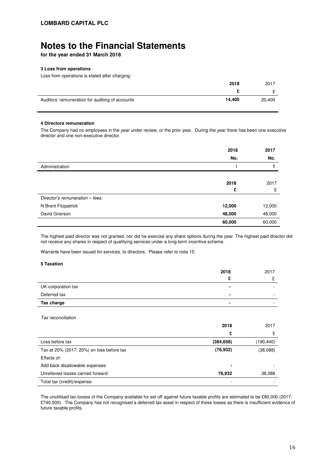**for the year ended 31 March 2018** 

### **3 Loss from operations**

Loss from operations is stated after charging:

|                                                 | 2018   | 2017   |
|-------------------------------------------------|--------|--------|
|                                                 |        |        |
| Auditors' remuneration for auditing of accounts | 14.400 | 20,400 |

#### **4 Directors remuneration**

The Company had no employees in the year under review, or the prior year. During the year there has been one executive director and one non-executive director.

|                                 | 2018   | 2017   |
|---------------------------------|--------|--------|
|                                 | No.    | No.    |
| Administration                  |        |        |
|                                 |        |        |
|                                 | 2018   | 2017   |
|                                 | £      | £      |
| Director's remuneration - fees: |        |        |
| N Brent Fitzpatrick             | 12,000 | 12,000 |
| David Grierson                  | 48,000 | 48,000 |
|                                 | 60,000 | 60,000 |

The highest paid director was not granted, nor did he exercise any share options during the year. The highest paid director did not receive any shares in respect of qualifying services under a long-term incentive scheme.

Warrants have been issued for services, to directors. Please refer to note 15.

#### **5 Taxation**

|                    | 2018                     | 2017 |
|--------------------|--------------------------|------|
|                    | c                        |      |
| UK corporation tax | $\blacksquare$           |      |
| Deferred tax       | $\blacksquare$           |      |
| Tax charge         | $\overline{\phantom{0}}$ |      |

#### Tax reconciliation

|                                           | 2018       | 2017       |
|-------------------------------------------|------------|------------|
|                                           | £          | £          |
| Loss before tax                           | (384, 658) | (190, 440) |
| Tax at 20% (2017: 20%) on loss before tax | (76, 932)  | (38,088)   |
| Effects of:                               |            |            |
| Add back disallowable expenses            | ۰          |            |
| Unrelieved losses carried forward         | 76,932     | 38,088     |
| Total tax (credit)/expense                |            |            |

The unutilised tax losses of the Company available for set off against future taxable profits are estimated to be £80,000 (2017: £740,000). The Company has not recognised a deferred tax asset in respect of these losses as there is insufficient evidence of future taxable profits.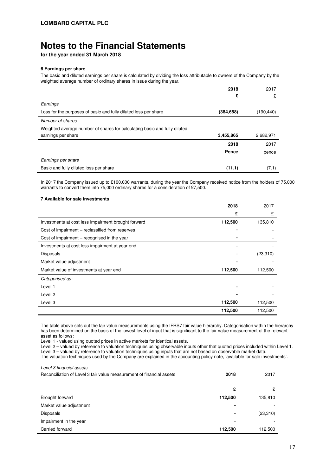**for the year ended 31 March 2018** 

#### **6 Earnings per share**

The basic and diluted earnings per share is calculated by dividing the loss attributable to owners of the Company by the weighted average number of ordinary shares in issue during the year.

|                                                                           | 2018       | 2017      |
|---------------------------------------------------------------------------|------------|-----------|
|                                                                           | £          | £         |
| Earnings                                                                  |            |           |
| Loss for the purposes of basic and fully diluted loss per share           | (384, 658) | (190,440) |
| Number of shares                                                          |            |           |
| Weighted average number of shares for calculating basic and fully diluted |            |           |
| earnings per share                                                        | 3,455,865  | 2,682,971 |
|                                                                           | 2018       | 2017      |
|                                                                           | Pence      | pence     |
| Earnings per share                                                        |            |           |
| Basic and fully diluted loss per share                                    | (11.1)     | (7.1)     |

In 2017 the Company issued up to £100,000 warrants, during the year the Company received notice from the holders of 75,000 warrants to convert them into 75,000 ordinary shares for a consideration of £7,500.

#### **7 Available for sale investments**

|                                                     | 2018    | 2017      |
|-----------------------------------------------------|---------|-----------|
|                                                     | £       | £         |
| Investments at cost less impairment brought forward | 112,500 | 135,810   |
| Cost of impairment – reclassified from reserves     |         |           |
| Cost of impairment – recognised in the year         |         |           |
| Investments at cost less impairment at year end     |         |           |
| Disposals                                           |         | (23, 310) |
| Market value adjustment                             |         |           |
| Market value of investments at year end             | 112,500 | 112,500   |
| Categorised as:                                     |         |           |
| Level 1                                             |         |           |
| Level <sub>2</sub>                                  |         |           |
| Level 3                                             | 112,500 | 112,500   |
|                                                     | 112,500 | 112,500   |

The table above sets out the fair value measurements using the IFRS7 fair value hierarchy. Categorisation within the hierarchy has been determined on the basis of the lowest level of input that is significant to the fair value measurement of the relevant asset as follows:

Level 1 - valued using quoted prices in active markets for identical assets.

Level 2 – valued by reference to valuation techniques using observable inputs other that quoted prices included within Level 1. Level 3 – valued by reference to valuation techniques using inputs that are not based on observable market data. The valuation techniques used by the Company are explained in the accounting policy note, 'available for sale investments'.

Level 3 financial assets

| Reconciliation of Level 3 fair value measurement of financial assets | 2018           | 2017     |
|----------------------------------------------------------------------|----------------|----------|
|                                                                      | £              | £        |
| Brought forward                                                      | 112,500        | 135,810  |
| Market value adjustment                                              | ٠              |          |
| Disposals                                                            | $\blacksquare$ | (23,310) |
| Impairment in the year                                               |                |          |
| Carried forward                                                      | 112,500        | 112,500  |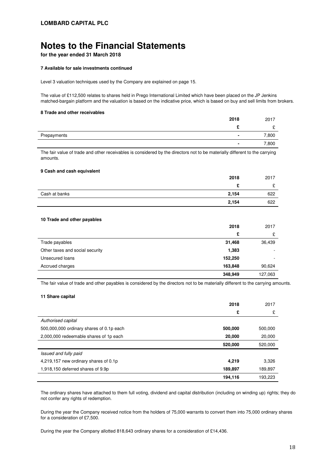**for the year ended 31 March 2018** 

#### **7 Available for sale investments continued**

Level 3 valuation techniques used by the Company are explained on page 15.

The value of £112,500 relates to shares held in Prego International Limited which have been placed on the JP Jenkins matched-bargain platform and the valuation is based on the indicative price, which is based on buy and sell limits from brokers.

#### **8 Trade and other receivables**

|             | 2018           | 2017  |
|-------------|----------------|-------|
|             |                |       |
| Prepayments | $\blacksquare$ | 7,800 |
|             | $\blacksquare$ | 7,800 |

The fair value of trade and other receivables is considered by the directors not to be materially different to the carrying amounts.

#### **9 Cash and cash equivalent**

|               | 2018  | 2017 |
|---------------|-------|------|
|               |       | -    |
| Cash at banks | 2,154 | 622  |
|               | 2,154 | 622  |

#### **10 Trade and other payables**

|                                 | 2018    | 2017    |
|---------------------------------|---------|---------|
|                                 | £       | £       |
| Trade payables                  | 31,468  | 36,439  |
| Other taxes and social security | 1,383   |         |
| Unsecured loans                 | 152,250 |         |
| Accrued charges                 | 163,848 | 90,624  |
|                                 | 348,949 | 127,063 |

The fair value of trade and other payables is considered by the directors not to be materially different to the carrying amounts.

#### **11 Share capital**

|                                          | 2018    | 2017    |
|------------------------------------------|---------|---------|
|                                          | £       | £       |
| Authorised capital                       |         |         |
| 500,000,000 ordinary shares of 0.1p each | 500,000 | 500,000 |
| 2,000,000 redeemable shares of 1p each   | 20,000  | 20,000  |
|                                          | 520,000 | 520,000 |
| Issued and fully paid                    |         |         |
| 4,219,157 new ordinary shares of 0.1p    | 4,219   | 3,326   |
| 1,918,150 deferred shares of 9.9p        | 189,897 | 189,897 |
|                                          | 194,116 | 193,223 |

The ordinary shares have attached to them full voting, dividend and capital distribution (including on winding up) rights; they do not confer any rights of redemption.

During the year the Company received notice from the holders of 75,000 warrants to convert them into 75,000 ordinary shares for a consideration of £7,500.

During the year the Company allotted 818,643 ordinary shares for a consideration of £14,436.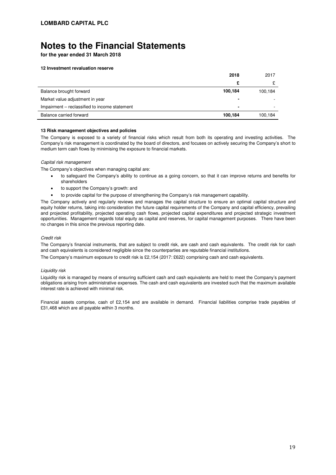**for the year ended 31 March 2018** 

#### **12 Investment revaluation reserve**

|                                               | 2018                     | 2017    |
|-----------------------------------------------|--------------------------|---------|
|                                               | £                        |         |
| Balance brought forward                       | 100,184                  | 100,184 |
| Market value adjustment in year               |                          |         |
| Impairment – reclassified to income statement | $\overline{\phantom{0}}$ |         |
| Balance carried forward                       | 100,184                  | 100.184 |

#### **13 Risk management objectives and policies**

The Company is exposed to a variety of financial risks which result from both its operating and investing activities. The Company's risk management is coordinated by the board of directors, and focuses on actively securing the Company's short to medium term cash flows by minimising the exposure to financial markets.

#### Capital risk management

The Company's objectives when managing capital are:

- to safeguard the Company's ability to continue as a going concern, so that it can improve returns and benefits for shareholders
- to support the Company's growth: and
- to provide capital for the purpose of strengthening the Company's risk management capability.

The Company actively and regularly reviews and manages the capital structure to ensure an optimal capital structure and equity holder returns, taking into consideration the future capital requirements of the Company and capital efficiency, prevailing and projected profitability, projected operating cash flows, projected capital expenditures and projected strategic investment opportunities. Management regards total equity as capital and reserves, for capital management purposes. There have been no changes in this since the previous reporting date.

#### Credit risk

The Company's financial instruments, that are subject to credit risk, are cash and cash equivalents. The credit risk for cash and cash equivalents is considered negligible since the counterparties are reputable financial institutions.

The Company's maximum exposure to credit risk is £2,154 (2017: £622) comprising cash and cash equivalents.

#### Liquidity risk

Liquidity risk is managed by means of ensuring sufficient cash and cash equivalents are held to meet the Company's payment obligations arising from administrative expenses. The cash and cash equivalents are invested such that the maximum available interest rate is achieved with minimal risk.

Financial assets comprise, cash of £2,154 and are available in demand. Financial liabilities comprise trade payables of £31,468 which are all payable within 3 months.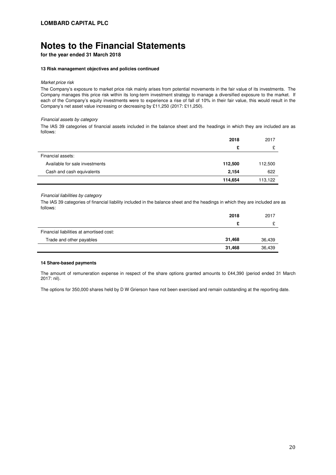**for the year ended 31 March 2018** 

#### **13 Risk management objectives and policies continued**

#### Market price risk

The Company's exposure to market price risk mainly arises from potential movements in the fair value of its investments. The Company manages this price risk within its long-term investment strategy to manage a diversified exposure to the market. If each of the Company's equity investments were to experience a rise of fall of 10% in their fair value, this would result in the Company's net asset value increasing or decreasing by £11,250 (2017: £11,250).

#### Financial assets by category

The IAS 39 categories of financial assets included in the balance sheet and the headings in which they are included are as follows:

|                                | 2018    | 2017    |
|--------------------------------|---------|---------|
|                                | £       | ₽       |
| Financial assets:              |         |         |
| Available for sale investments | 112,500 | 112,500 |
| Cash and cash equivalents      | 2,154   | 622     |
|                                | 114,654 | 113,122 |

Financial liabilities by category

The IAS 39 categories of financial liability included in the balance sheet and the headings in which they are included are as follows:

|                                          | 2018   | 2017   |
|------------------------------------------|--------|--------|
|                                          | £      | c      |
| Financial liabilities at amortised cost: |        |        |
| Trade and other payables                 | 31,468 | 36,439 |
|                                          | 31,468 | 36,439 |

#### **14 Share-based payments**

l,

The amount of remuneration expense in respect of the share options granted amounts to £44,390 (period ended 31 March 2017: nil).

The options for 350,000 shares held by D W Grierson have not been exercised and remain outstanding at the reporting date.